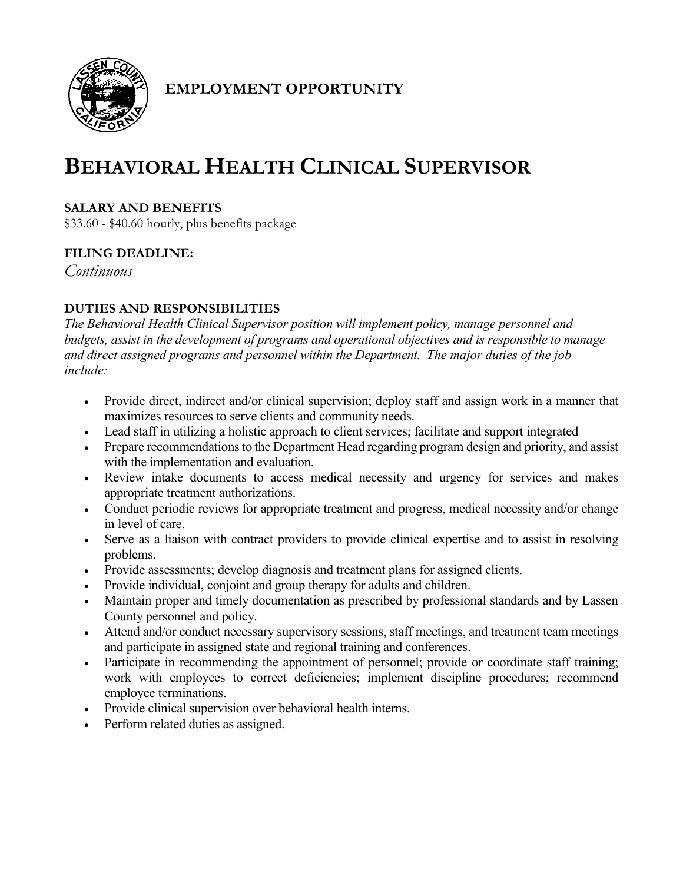

# **EMPLOYMENT OPPORTUNITY**

# **BEHAVIORAL HEALTH CLINICAL SUPERVISOR**

# **SALARY AND BENEFITS**

\$33.60 - \$40.60 hourly, plus benefits package

# **FILING DEADLINE:**

*Continuous*

# **DUTIES AND RESPONSIBILITIES**

*The Behavioral Health Clinical Supervisor position will implement policy, manage personnel and budgets, assist in the development of programs and operational objectives and is responsible to manage and direct assigned programs and personnel within the Department. The major duties of the job include:*

- Provide direct, indirect and/or clinical supervision; deploy staff and assign work in a manner that maximizes resources to serve clients and community needs.
- Lead staff in utilizing a holistic approach to client services; facilitate and support integrated
- Prepare recommendations to the Department Head regarding program design and priority, and assist with the implementation and evaluation.
- Review intake documents to access medical necessity and urgency for services and makes appropriate treatment authorizations.
- Conduct periodic reviews for appropriate treatment and progress, medical necessity and/or change in level of care.
- Serve as a liaison with contract providers to provide clinical expertise and to assist in resolving problems.
- Provide assessments; develop diagnosis and treatment plans for assigned clients.
- Provide individual, conjoint and group therapy for adults and children.
- Maintain proper and timely documentation as prescribed by professional standards and by Lassen County personnel and policy.
- Attend and/or conduct necessary supervisory sessions, staff meetings, and treatment team meetings and participate in assigned state and regional training and conferences.
- Participate in recommending the appointment of personnel; provide or coordinate staff training; work with employees to correct deficiencies; implement discipline procedures; recommend employee terminations.
- Provide clinical supervision over behavioral health interns.
- Perform related duties as assigned.